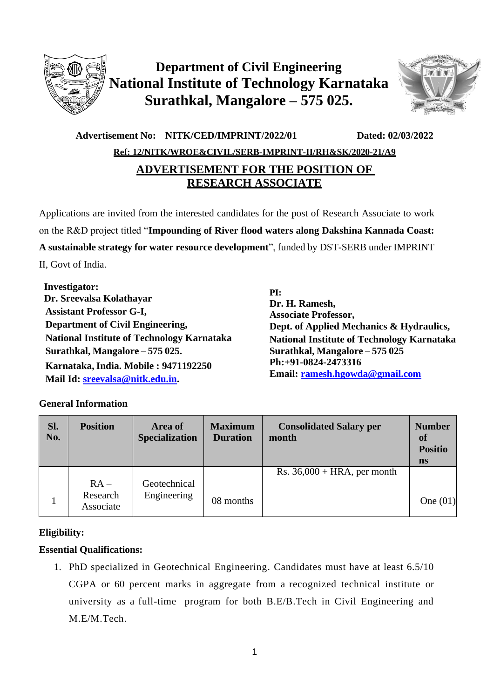

# **Department of Civil Engineering National Institute of Technology Karnataka Surathkal, Mangalore – 575 025.**



## **Advertisement No: NITK/CED/IMPRINT/2022/01 Dated: 02/03/2022 Ref: 12/NITK/WROE&CIVIL/SERB-IMPRINT-II/RH&SK/2020-21/A9 ADVERTISEMENT FOR THE POSITION OF RESEARCH ASSOCIATE**

Applications are invited from the interested candidates for the post of Research Associate to work on the R&D project titled "**Impounding of River flood waters along Dakshina Kannada Coast: A sustainable strategy for water resource development**", funded by DST-SERB under IMPRINT II, Govt of India.

 **Investigator: Dr. Sreevalsa Kolathayar Assistant Professor G-I, Department of Civil Engineering, National Institute of Technology Karnataka Surathkal, Mangalore – 575 025. Karnataka, India. Mobile : 9471192250 Mail Id: [sreevalsa@nitk.edu.in.](mailto:sreevalsa@nitk.edu.in)**

**PI: Dr. H. Ramesh, Associate Professor, Dept. of Applied Mechanics & Hydraulics, National Institute of Technology Karnataka Surathkal, Mangalore – 575 025 Ph:+91-0824-2473316 Email: [ramesh.hgowda@gmail.com](mailto:ramesh.hgowda@gmail.com)**

### **General Information**

| Sl.<br>No. | <b>Position</b>                 | Area of<br><b>Specialization</b> | <b>Maximum</b><br><b>Duration</b> | <b>Consolidated Salary per</b><br>month | <b>Number</b><br><b>of</b><br><b>Positio</b><br>ns |
|------------|---------------------------------|----------------------------------|-----------------------------------|-----------------------------------------|----------------------------------------------------|
|            | $RA -$<br>Research<br>Associate | Geotechnical<br>Engineering      | 08 months                         | Rs. $36,000 + HRA$ , per month          | One $(01)$                                         |

### **Eligibility:**

## **Essential Qualifications:**

1. PhD specialized in Geotechnical Engineering. Candidates must have at least 6.5/10 CGPA or 60 percent marks in aggregate from a recognized technical institute or university as a full-time program for both B.E/B.Tech in Civil Engineering and M.E/M.Tech.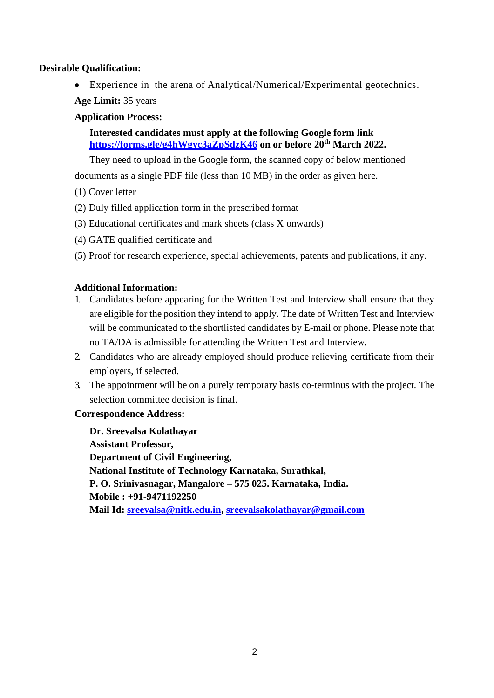#### **Desirable Qualification:**

• Experience in the arena of Analytical/Numerical/Experimental geotechnics.

**Age Limit:** 35 years

#### **Application Process:**

#### **Interested candidates must apply at the following Google form link <https://forms.gle/g4hWgyc3aZpSdzK46> on or before 20th March 2022.**

They need to upload in the Google form, the scanned copy of below mentioned

documents as a single PDF file (less than 10 MB) in the order as given here.

- (1) Cover letter
- (2) Duly filled application form in the prescribed format
- (3) Educational certificates and mark sheets (class X onwards)
- (4) GATE qualified certificate and
- (5) Proof for research experience, special achievements, patents and publications, if any.

#### **Additional Information:**

- 1. Candidates before appearing for the Written Test and Interview shall ensure that they are eligible for the position they intend to apply. The date of Written Test and Interview will be communicated to the shortlisted candidates by E-mail or phone. Please note that no TA/DA is admissible for attending the Written Test and Interview.
- 2. Candidates who are already employed should produce relieving certificate from their employers, if selected.
- 3. The appointment will be on a purely temporary basis co-terminus with the project. The selection committee decision is final.

#### **Correspondence Address:**

**Dr. Sreevalsa Kolathayar Assistant Professor, Department of Civil Engineering, National Institute of Technology Karnataka, Surathkal, P. O. Srinivasnagar, Mangalore – 575 025. Karnataka, India. Mobile : +91-9471192250 Mail Id: [sreevalsa@nitk.edu.in,](mailto:sreevalsa@nitk.edu.in) [sreevalsakolathayar@gmail.com](mailto:sreevalsakolathayar@gmail.com)**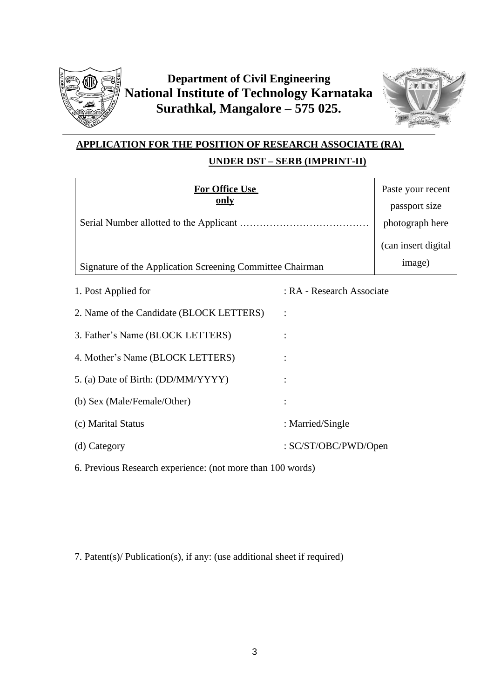

# **Department of Civil Engineering National Institute of Technology Karnataka Surathkal, Mangalore – 575 025.**



## **APPLICATION FOR THE POSITION OF RESEARCH ASSOCIATE (RA) UNDER DST – SERB (IMPRINT-II)**

| <b>For Office Use</b><br><u>only</u><br>Signature of the Application Screening Committee Chairman                                                                                                                                                                                                                 |                           | Paste your recent<br>passport size<br>photograph here<br>(can insert digital<br>image) |
|-------------------------------------------------------------------------------------------------------------------------------------------------------------------------------------------------------------------------------------------------------------------------------------------------------------------|---------------------------|----------------------------------------------------------------------------------------|
| 1. Post Applied for                                                                                                                                                                                                                                                                                               | : RA - Research Associate |                                                                                        |
| 2. Name of the Candidate (BLOCK LETTERS)                                                                                                                                                                                                                                                                          |                           |                                                                                        |
| 3. Father's Name (BLOCK LETTERS)                                                                                                                                                                                                                                                                                  |                           |                                                                                        |
| 4. Mother's Name (BLOCK LETTERS)                                                                                                                                                                                                                                                                                  |                           |                                                                                        |
| 5. (a) Date of Birth: (DD/MM/YYYY)                                                                                                                                                                                                                                                                                |                           |                                                                                        |
| (b) Sex (Male/Female/Other)                                                                                                                                                                                                                                                                                       |                           |                                                                                        |
| (c) Marital Status                                                                                                                                                                                                                                                                                                | : Married/Single          |                                                                                        |
| (d) Category                                                                                                                                                                                                                                                                                                      | : SC/ST/OBC/PWD/Open      |                                                                                        |
| $\mathbf{D}$ and $\mathbf{D}$ and $\mathbf{D}$ and $\mathbf{D}$ and $\mathbf{D}$ and $\mathbf{D}$ and $\mathbf{D}$ and $\mathbf{D}$ and $\mathbf{D}$ and $\mathbf{D}$ and $\mathbf{D}$ and $\mathbf{D}$ and $\mathbf{D}$ and $\mathbf{D}$ and $\mathbf{D}$ and $\mathbf{D}$ and $\mathbf{D}$ and<br>$\sim$ $\sim$ | 100                       |                                                                                        |

6. Previous Research experience: (not more than 100 words)

7. Patent(s)/ Publication(s), if any: (use additional sheet if required)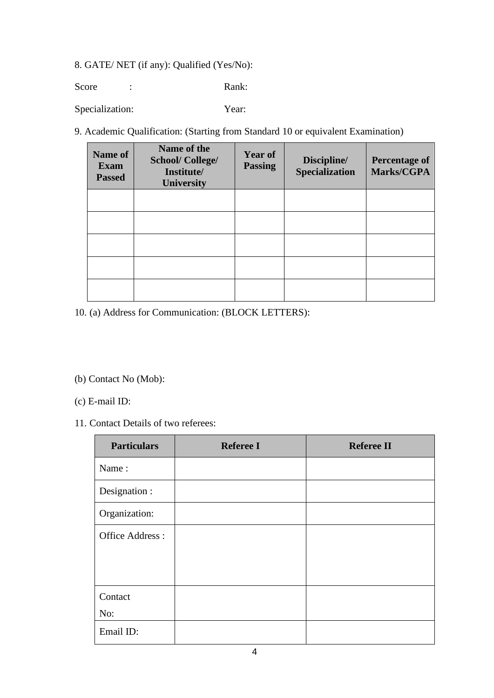## 8. GATE/ NET (if any): Qualified (Yes/No):

Score : Rank:

Specialization: Year:

9. Academic Qualification: (Starting from Standard 10 or equivalent Examination)

| <b>Name of</b><br><b>Exam</b><br><b>Passed</b> | Name of the<br><b>School/College/</b><br>Institute/<br><b>University</b> | <b>Year of</b><br><b>Passing</b> | Discipline/<br>Specialization | <b>Percentage of</b><br>Marks/CGPA |
|------------------------------------------------|--------------------------------------------------------------------------|----------------------------------|-------------------------------|------------------------------------|
|                                                |                                                                          |                                  |                               |                                    |
|                                                |                                                                          |                                  |                               |                                    |
|                                                |                                                                          |                                  |                               |                                    |
|                                                |                                                                          |                                  |                               |                                    |
|                                                |                                                                          |                                  |                               |                                    |

10. (a) Address for Communication: (BLOCK LETTERS):

#### (b) Contact No (Mob):

- (c) E-mail ID:
- 11. Contact Details of two referees:

| <b>Particulars</b> | <b>Referee I</b> | <b>Referee II</b> |
|--------------------|------------------|-------------------|
| Name:              |                  |                   |
| Designation :      |                  |                   |
| Organization:      |                  |                   |
| Office Address:    |                  |                   |
|                    |                  |                   |
|                    |                  |                   |
| Contact            |                  |                   |
| No:                |                  |                   |
| Email ID:          |                  |                   |